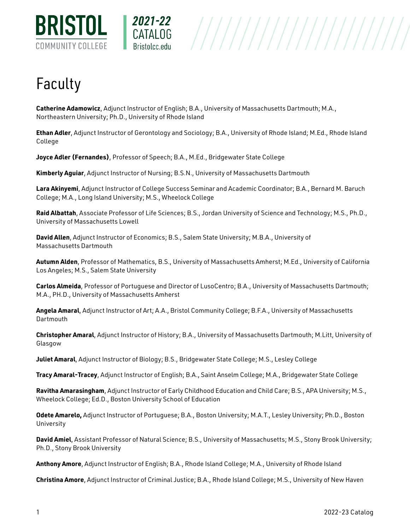



## Faculty

**Catherine Adamowicz**, Adjunct Instructor of English; B.A., University of Massachusetts Dartmouth; M.A., Northeastern University; Ph.D., University of Rhode Island

**Ethan Adler**, Adjunct Instructor of Gerontology and Sociology; B.A., University of Rhode Island; M.Ed., Rhode Island College

**Joyce Adler (Fernandes)**, Professor of Speech; B.A., M.Ed., Bridgewater State College

**Kimberly Aguiar**, Adjunct Instructor of Nursing; B.S.N., University of Massachusetts Dartmouth

**Lara Akinyemi**, Adjunct Instructor of College Success Seminar and Academic Coordinator; B.A., Bernard M. Baruch College; M.A., Long Island University; M.S., Wheelock College

**Raid Albattah**, Associate Professor of Life Sciences; B.S., Jordan University of Science and Technology; M.S., Ph.D., University of Massachusetts Lowell

**David Allen**, Adjunct Instructor of Economics; B.S., Salem State University; M.B.A., University of Massachusetts Dartmouth

**Autumn Alden**, Professor of Mathematics, B.S., University of Massachusetts Amherst; M.Ed., University of California Los Angeles; M.S., Salem State University

**Carlos Almeida**, Professor of Portuguese and Director of LusoCentro; B.A., University of Massachusetts Dartmouth; M.A., PH.D., University of Massachusetts Amherst

**Angela Amaral**, Adjunct Instructor of Art; A.A., Bristol Community College; B.F.A., University of Massachusetts **Dartmouth** 

**Christopher Amaral**, Adjunct Instructor of History; B.A., University of Massachusetts Dartmouth; M.Litt, University of Glasgow

**Juliet Amaral**, Adjunct Instructor of Biology; B.S., Bridgewater State College; M.S., Lesley College

**Tracy Amaral-Tracey**, Adjunct Instructor of English; B.A., Saint Anselm College; M.A., Bridgewater State College

**Ravitha Amarasingham**, Adjunct Instructor of Early Childhood Education and Child Care; B.S., APA University; M.S., Wheelock College; Ed.D., Boston University School of Education

**Odete Amarelo,** Adjunct Instructor of Portuguese; B.A., Boston University; M.A.T., Lesley University; Ph.D., Boston University

**David Amiel**, Assistant Professor of Natural Science; B.S., University of Massachusetts; M.S., Stony Brook University; Ph.D., Stony Brook University

**Anthony Amore**, Adjunct Instructor of English; B.A., Rhode Island College; M.A., University of Rhode Island

**Christina Amore**, Adjunct Instructor of Criminal Justice; B.A., Rhode Island College; M.S., University of New Haven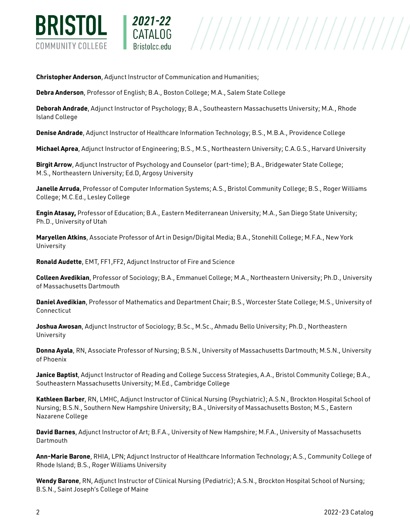

**Christopher Anderson**, Adjunct Instructor of Communication and Humanities;

2021-22

**Debra Anderson**, Professor of English; B.A., Boston College; M.A., Salem State College

**Deborah Andrade**, Adjunct Instructor of Psychology; B.A., Southeastern Massachusetts University; M.A., Rhode Island College

**Denise Andrade**, Adjunct Instructor of Healthcare Information Technology; B.S., M.B.A., Providence College

**Michael Aprea**, Adjunct Instructor of Engineering; B.S., M.S., Northeastern University; C.A.G.S., Harvard University

**Birgit Arrow**, Adjunct Instructor of Psychology and Counselor (part-time); B.A., Bridgewater State College; M.S., Northeastern University; Ed.D, Argosy University

**Janelle Arruda**, Professor of Computer Information Systems; A.S., Bristol Community College; B.S., Roger Williams College; M.C.Ed., Lesley College

**Engin Atasay,** Professor of Education; B.A., Eastern Mediterranean University; M.A., San Diego State University; Ph.D., University of Utah

**Maryellen Atkins**, Associate Professor of Art in Design/Digital Media; B.A., Stonehill College; M.F.A., New York University

**Ronald Audette**, EMT, FF1,FF2, Adjunct Instructor of Fire and Science

**Colleen Avedikian**, Professor of Sociology; B.A., Emmanuel College; M.A., Northeastern University; Ph.D., University of Massachusetts Dartmouth

**Daniel Avedikian**, Professor of Mathematics and Department Chair; B.S., Worcester State College; M.S., University of Connecticut

**Joshua Awosan**, Adjunct Instructor of Sociology; B.Sc., M.Sc., Ahmadu Bello University; Ph.D., Northeastern University

**Donna Ayala**, RN, Associate Professor of Nursing; B.S.N., University of Massachusetts Dartmouth; M.S.N., University of Phoenix

**Janice Baptist**, Adjunct Instructor of Reading and College Success Strategies, A.A., Bristol Community College; B.A., Southeastern Massachusetts University; M.Ed., Cambridge College

**Kathleen Barber**, RN, LMHC, Adjunct Instructor of Clinical Nursing (Psychiatric); A.S.N., Brockton Hospital School of Nursing; B.S.N., Southern New Hampshire University; B.A., University of Massachusetts Boston; M.S., Eastern Nazarene College

**David Barnes**, Adjunct Instructor of Art; B.F.A., University of New Hampshire; M.F.A., University of Massachusetts **Dartmouth** 

**Ann-Marie Barone**, RHIA, LPN; Adjunct Instructor of Healthcare Information Technology; A.S., Community College of Rhode Island; B.S., Roger Williams University

**Wendy Barone**, RN, Adjunct Instructor of Clinical Nursing (Pediatric); A.S.N., Brockton Hospital School of Nursing; B.S.N., Saint Joseph's College of Maine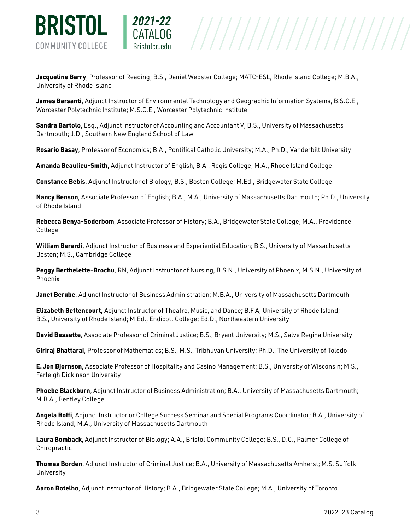

**Jacqueline Barry**, Professor of Reading; B.S., Daniel Webster College; MATC-ESL, Rhode Island College; M.B.A., University of Rhode Island

**James Barsanti**, Adjunct Instructor of Environmental Technology and Geographic Information Systems, B.S.C.E., Worcester Polytechnic Institute; M.S.C.E., Worcester Polytechnic Institute

**Sandra Bartolo**, Esq., Adjunct Instructor of Accounting and Accountant V; B.S., University of Massachusetts Dartmouth; J.D., Southern New England School of Law

**Rosario Basay**, Professor of Economics; B.A., Pontifical Catholic University; M.A., Ph.D., Vanderbilt University

**Amanda Beaulieu-Smith,** Adjunct Instructor of English, B.A., Regis College; M.A., Rhode Island College

**Constance Bebis**, Adjunct Instructor of Biology; B.S., Boston College; M.Ed., Bridgewater State College

**Nancy Benson**, Associate Professor of English; B.A., M.A., University of Massachusetts Dartmouth; Ph.D., University of Rhode Island

**Rebecca Benya-Soderbom**, Associate Professor of History; B.A., Bridgewater State College; M.A., Providence College

**William Berardi**, Adjunct Instructor of Business and Experiential Education; B.S., University of Massachusetts Boston; M.S., Cambridge College

**Peggy Berthelette-Brochu**, RN, Adjunct Instructor of Nursing, B.S.N., University of Phoenix, M.S.N., University of Phoenix

**Janet Berube**, Adjunct Instructor of Business Administration; M.B.A., University of Massachusetts Dartmouth

**Elizabeth Bettencourt,** Adjunct Instructor of Theatre, Music, and Dance**;** B.F.A, University of Rhode Island; B.S., University of Rhode Island; M.Ed., Endicott College; Ed.D., Northeastern University

**David Bessette**, Associate Professor of Criminal Justice; B.S., Bryant University; M.S., Salve Regina University

**Giriraj Bhattarai**, Professor of Mathematics; B.S., M.S., Tribhuvan University; Ph.D., The University of Toledo

**E. Jon Bjornson**, Associate Professor of Hospitality and Casino Management; B.S., University of Wisconsin; M.S., Farleigh Dickinson University

**Phoebe Blackburn**, Adjunct Instructor of Business Administration; B.A., University of Massachusetts Dartmouth; M.B.A., Bentley College

**Angela Boffi**, Adjunct Instructor or College Success Seminar and Special Programs Coordinator; B.A., University of Rhode Island; M.A., University of Massachusetts Dartmouth

**Laura Bomback**, Adjunct Instructor of Biology; A.A., Bristol Community College; B.S., D.C., Palmer College of Chiropractic

**Thomas Borden**, Adjunct Instructor of Criminal Justice; B.A., University of Massachusetts Amherst; M.S. Suffolk University

**Aaron Botelho**, Adjunct Instructor of History; B.A., Bridgewater State College; M.A., University of Toronto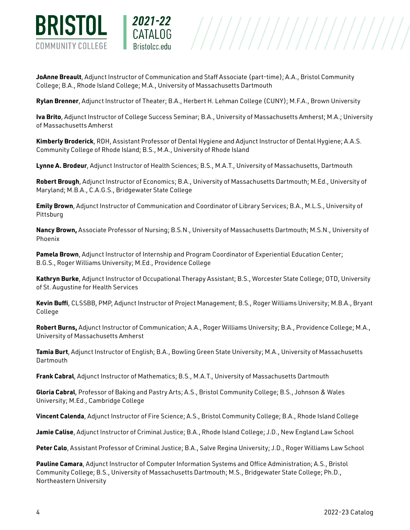

**JoAnne Breault**, Adjunct Instructor of Communication and Staff Associate (part-time); A.A., Bristol Community College; B.A., Rhode Island College; M.A., University of Massachusetts Dartmouth

2021-22

**Rylan Brenner**, Adjunct Instructor of Theater; B.A., Herbert H. Lehman College (CUNY); M.F.A., Brown University

**Iva Brito**, Adjunct Instructor of College Success Seminar; B.A., University of Massachusetts Amherst; M.A.; University of Massachusetts Amherst

 $\begin{array}{c|c|c|c} \textbf{CATALOG} & & & \textbf{///} \end{array} \begin{array}{c|c|c} \textbf{CATALOG} & & & \textbf{///} \end{array} \begin{array}{c} \textbf{CATALOG} & & \textbf{///} \end{array} \begin{array}{c} \textbf{CATALOG} & & \textbf{79.133} & \textbf{0.000} & \textbf{0.000} & \textbf{0.000} & \textbf{0.000} & \textbf{0.000} & \textbf{0.000} & \textbf{0.000} & \textbf{0.000} & \textbf$ 

**Kimberly Broderick**, RDH, Assistant Professor of Dental Hygiene and Adjunct Instructor of Dental Hygiene; A.A.S. Community College of Rhode Island; B.S., M.A., University of Rhode Island

**Lynne A. Brodeur**, Adjunct Instructor of Health Sciences; B.S., M.A.T., University of Massachusetts, Dartmouth

**Robert Brough**, Adjunct Instructor of Economics; B.A., University of Massachusetts Dartmouth; M.Ed., University of Maryland; M.B.A., C.A.G.S., Bridgewater State College

**Emily Brown**, Adjunct Instructor of Communication and Coordinator of Library Services; B.A., M.L.S., University of Pittsburg

**Nancy Brown,** Associate Professor of Nursing; B.S.N., University of Massachusetts Dartmouth; M.S.N., University of Phoenix

**Pamela Brown**, Adjunct Instructor of Internship and Program Coordinator of Experiential Education Center; B.G.S., Roger Williams University; M.Ed., Providence College

**Kathryn Burke**, Adjunct Instructor of Occupational Therapy Assistant; B.S., Worcester State College; OTD, University of St. Augustine for Health Services

**Kevin Buffi**, CLSSBB, PMP, Adjunct Instructor of Project Management; B.S., Roger Williams University; M.B.A., Bryant College

**Robert Burns,** Adjunct Instructor of Communication; A.A., Roger Williams University; B.A., Providence College; M.A., University of Massachusetts Amherst

**Tamia Burt**, Adjunct Instructor of English; B.A., Bowling Green State University; M.A., University of Massachusetts **Dartmouth** 

**Frank Cabral**, Adjunct Instructor of Mathematics; B.S., M.A.T., University of Massachusetts Dartmouth

**Gloria Cabral**, Professor of Baking and Pastry Arts; A.S., Bristol Community College; B.S., Johnson & Wales University; M.Ed., Cambridge College

**Vincent Calenda**, Adjunct Instructor of Fire Science; A.S., Bristol Community College; B.A., Rhode Island College

**Jamie Calise**, Adjunct Instructor of Criminal Justice; B.A., Rhode Island College; J.D., New England Law School

**Peter Calo**, Assistant Professor of Criminal Justice; B.A., Salve Regina University; J.D., Roger Williams Law School

**Pauline Camara**, Adjunct Instructor of Computer Information Systems and Office Administration; A.S., Bristol Community College; B.S., University of Massachusetts Dartmouth; M.S., Bridgewater State College; Ph.D., Northeastern University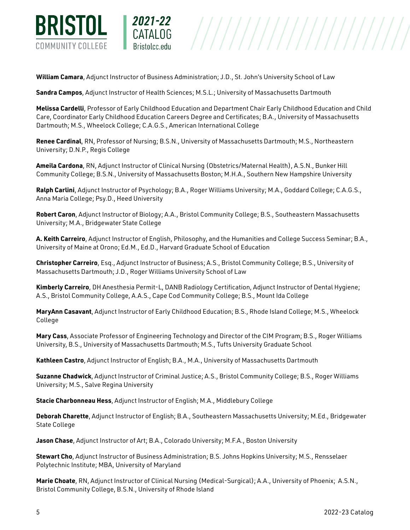

**William Camara**, Adjunct Instructor of Business Administration; J.D., St. John's University School of Law

2021-22

**Sandra Campos**, Adjunct Instructor of Health Sciences; M.S.L.; University of Massachusetts Dartmouth

**Melissa Cardelli**, Professor of Early Childhood Education and Department Chair Early Childhood Education and Child Care, Coordinator Early Childhood Education Careers Degree and Certificates; B.A., University of Massachusetts Dartmouth; M.S., Wheelock College; C.A.G.S., American International College

**Renee Cardinal**, RN, Professor of Nursing; B.S.N., University of Massachusetts Dartmouth; M.S., Northeastern University; D.N.P., Regis College

**Ameila Cardona**, RN, Adjunct Instructor of Clinical Nursing (Obstetrics/Maternal Health), A.S.N., Bunker Hill Community College; B.S.N., University of Massachusetts Boston; M.H.A., Southern New Hampshire University

**Ralph Carlini**, Adjunct Instructor of Psychology; B.A., Roger Williams University; M.A., Goddard College; C.A.G.S., Anna Maria College; Psy.D., Heed University

**Robert Caron**, Adjunct Instructor of Biology; A.A., Bristol Community College; B.S., Southeastern Massachusetts University; M.A., Bridgewater State College

**A. Keith Carreiro**, Adjunct Instructor of English, Philosophy, and the Humanities and College Success Seminar; B.A., University of Maine at Orono; Ed.M., Ed.D., Harvard Graduate School of Education

**Christopher Carreiro**, Esq., Adjunct Instructor of Business; A.S., Bristol Community College; B.S., University of Massachusetts Dartmouth; J.D., Roger Williams University School of Law

**Kimberly Carreiro**, DH Anesthesia Permit-L, DANB Radiology Certification, Adjunct Instructor of Dental Hygiene; A.S., Bristol Community College, A.A.S., Cape Cod Community College; B.S., Mount Ida College

**MaryAnn Casavant**, Adjunct Instructor of Early Childhood Education; B.S., Rhode Island College; M.S., Wheelock College

**Mary Cass**, Associate Professor of Engineering Technology and Director of the CIM Program; B.S., Roger Williams University, B.S., University of Massachusetts Dartmouth; M.S., Tufts University Graduate School

**Kathleen Castro**, Adjunct Instructor of English; B.A., M.A., University of Massachusetts Dartmouth

**Suzanne Chadwick**, Adjunct Instructor of Criminal Justice; A.S., Bristol Community College; B.S., Roger Williams University; M.S., Salve Regina University

**Stacie Charbonneau Hess**, Adjunct Instructor of English; M.A., Middlebury College

**Deborah Charette**, Adjunct Instructor of English; B.A., Southeastern Massachusetts University; M.Ed., Bridgewater State College

**Jason Chase**, Adjunct Instructor of Art; B.A., Colorado University; M.F.A., Boston University

**Stewart Cho**, Adjunct Instructor of Business Administration; B.S. Johns Hopkins University; M.S., Rensselaer Polytechnic Institute; MBA, University of Maryland

**Marie Choate**, RN, Adjunct Instructor of Clinical Nursing (Medical-Surgical); A.A., University of Phoenix; A.S.N., Bristol Community College, B.S.N., University of Rhode Island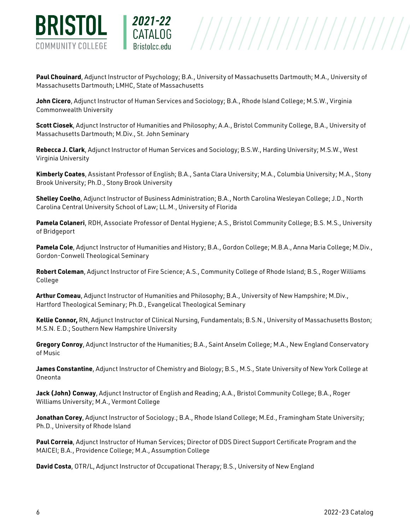

**Paul Chouinard**, Adjunct Instructor of Psychology; B.A., University of Massachusetts Dartmouth; M.A., University of Massachusetts Dartmouth; LMHC, State of Massachusetts

**John Cicero**, Adjunct Instructor of Human Services and Sociology; B.A., Rhode Island College; M.S.W., Virginia Commonwealth University

2021-22

**Scott Ciosek**, Adjunct Instructor of Humanities and Philosophy; A.A., Bristol Community College, B.A., University of Massachusetts Dartmouth; M.Div., St. John Seminary

**Rebecca J. Clark**, Adjunct Instructor of Human Services and Sociology; B.S.W., Harding University; M.S.W., West Virginia University

**Kimberly Coates**, Assistant Professor of English; B.A., Santa Clara University; M.A., Columbia University; M.A., Stony Brook University; Ph.D., Stony Brook University

**Shelley Coelho**, Adjunct Instructor of Business Administration; B.A., North Carolina Wesleyan College; J.D., North Carolina Central University School of Law; LL.M., University of Florida

**Pamela Colaneri**, RDH, Associate Professor of Dental Hygiene; A.S., Bristol Community College; B.S. M.S., University of Bridgeport

**Pamela Cole**, Adjunct Instructor of Humanities and History; B.A., Gordon College; M.B.A., Anna Maria College; M.Div., Gordon-Conwell Theological Seminary

**Robert Coleman**, Adjunct Instructor of Fire Science; A.S., Community College of Rhode Island; B.S., Roger Williams College

**Arthur Comeau**, Adjunct Instructor of Humanities and Philosophy; B.A., University of New Hampshire; M.Div., Hartford Theological Seminary; Ph.D., Evangelical Theological Seminary

**Kellie Connor,** RN, Adjunct Instructor of Clinical Nursing, Fundamentals; B.S.N., University of Massachusetts Boston; M.S.N. E.D.; Southern New Hampshire University

**Gregory Conroy**, Adjunct Instructor of the Humanities; B.A., Saint Anselm College; M.A., New England Conservatory of Music

**James Constantine**, Adjunct Instructor of Chemistry and Biology; B.S., M.S., State University of New York College at Oneonta

**Jack (John) Conway**, Adjunct Instructor of English and Reading; A.A., Bristol Community College; B.A., Roger Williams University; M.A., Vermont College

**Jonathan Corey**, Adjunct Instructor of Sociology.; B.A., Rhode Island College; M.Ed., Framingham State University; Ph.D., University of Rhode Island

**Paul Correia**, Adjunct Instructor of Human Services; Director of DDS Direct Support Certificate Program and the MAICEI; B.A., Providence College; M.A., Assumption College

**David Costa**, OTR/L, Adjunct Instructor of Occupational Therapy; B.S., University of New England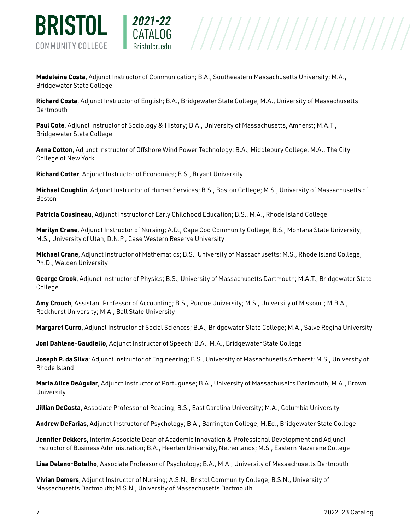

**Madeleine Costa**, Adjunct Instructor of Communication; B.A., Southeastern Massachusetts University; M.A., Bridgewater State College

**Richard Costa**, Adjunct Instructor of English; B.A., Bridgewater State College; M.A., University of Massachusetts **Dartmouth** 

**Paul Cote**, Adjunct Instructor of Sociology & History; B.A., University of Massachusetts, Amherst; M.A.T., Bridgewater State College

**Anna Cotton**, Adjunct Instructor of Offshore Wind Power Technology; B.A., Middlebury College, M.A., The City College of New York

**Richard Cotter**, Adjunct Instructor of Economics; B.S., Bryant University

2021-22

**Michael Coughlin**, Adjunct Instructor of Human Services; B.S., Boston College; M.S., University of Massachusetts of Boston

**Patricia Cousineau**, Adjunct Instructor of Early Childhood Education; B.S., M.A., Rhode Island College

**Marilyn Crane**, Adjunct Instructor of Nursing; A.D., Cape Cod Community College; B.S., Montana State University; M.S., University of Utah; D.N.P., Case Western Reserve University

**Michael Crane**, Adjunct Instructor of Mathematics; B.S., University of Massachusetts; M.S., Rhode Island College; Ph.D., Walden University

**George Crook**, Adjunct Instructor of Physics; B.S., University of Massachusetts Dartmouth; M.A.T., Bridgewater State College

**Amy Crouch**, Assistant Professor of Accounting; B.S., Purdue University; M.S., University of Missouri; M.B.A., Rockhurst University; M.A., Ball State University

**Margaret Curro**, Adjunct Instructor of Social Sciences; B.A., Bridgewater State College; M.A., Salve Regina University

**Joni Dahlene-Gaudiello**, Adjunct Instructor of Speech; B.A., M.A., Bridgewater State College

**Joseph P. da Silva**; Adjunct Instructor of Engineering; B.S., University of Massachusetts Amherst; M.S., University of Rhode Island

**Maria Alice DeAguiar**, Adjunct Instructor of Portuguese; B.A., University of Massachusetts Dartmouth; M.A., Brown University

**Jillian DeCosta**, Associate Professor of Reading; B.S., East Carolina University; M.A., Columbia University

**Andrew DeFarias**, Adjunct Instructor of Psychology; B.A., Barrington College; M.Ed., Bridgewater State College

**Jennifer Dekkers**, Interim Associate Dean of Academic Innovation & Professional Development and Adjunct Instructor of Business Administration; B.A., Heerlen University, Netherlands; M.S., Eastern Nazarene College

**Lisa Delano-Botelho**, Associate Professor of Psychology; B.A., M.A., University of Massachusetts Dartmouth

**Vivian Demers**, Adjunct Instructor of Nursing; A.S.N.; Bristol Community College; B.S.N., University of Massachusetts Dartmouth; M.S.N., University of Massachusetts Dartmouth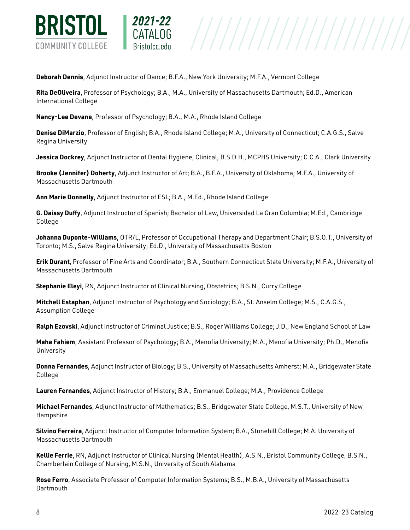

**Deborah Dennis**, Adjunct Instructor of Dance; B.F.A., New York University; M.F.A., Vermont College

**Rita DeOliveira**, Professor of Psychology; B.A., M.A., University of Massachusetts Dartmouth; Ed.D., American International College

**Nancy-Lee Devane**, Professor of Psychology; B.A., M.A., Rhode Island College

2021-22

**Denise DiMarzio**, Professor of English; B.A., Rhode Island College; M.A., University of Connecticut; C.A.G.S., Salve Regina University

**Jessica Dockrey**, Adjunct Instructor of Dental Hygiene, Clinical, B.S.D.H., MCPHS University; C.C.A., Clark University

**Brooke (Jennifer) Doherty**, Adjunct Instructor of Art; B.A., B.F.A., University of Oklahoma; M.F.A., University of Massachusetts Dartmouth

**Ann Marie Donnelly**, Adjunct Instructor of ESL; B.A., M.Ed., Rhode Island College

**G. Daissy Duffy**, Adjunct Instructor of Spanish; Bachelor of Law, Universidad La Gran Columbia; M.Ed., Cambridge College

**Johanna Duponte-Williams**, OTR/L, Professor of Occupational Therapy and Department Chair; B.S.O.T., University of Toronto; M.S., Salve Regina University; Ed.D., University of Massachusetts Boston

**Erik Durant**, Professor of Fine Arts and Coordinator; B.A., Southern Connecticut State University; M.F.A., University of Massachusetts Dartmouth

**Stephanie Eleyi**, RN, Adjunct Instructor of Clinical Nursing, Obstetrics; B.S.N., Curry College

**Mitchell Estaphan**, Adjunct Instructor of Psychology and Sociology; B.A., St. Anselm College; M.S., C.A.G.S., Assumption College

**Ralph Ezovski**, Adjunct Instructor of Criminal Justice; B.S., Roger Williams College; J.D., New England School of Law

**Maha Fahiem**, Assistant Professor of Psychology; B.A., Menofia University; M.A., Menofia University; Ph.D., Menofia University

**Donna Fernandes**, Adjunct Instructor of Biology; B.S., University of Massachusetts Amherst; M.A., Bridgewater State College

**Lauren Fernandes**, Adjunct Instructor of History; B.A., Emmanuel College; M.A., Providence College

**Michael Fernandes**, Adjunct Instructor of Mathematics; B.S., Bridgewater State College, M.S.T., University of New Hampshire

**Silvino Ferreira**, Adjunct Instructor of Computer Information System; B.A., Stonehill College; M.A. University of Massachusetts Dartmouth

**Kellie Ferrie**, RN, Adjunct Instructor of Clinical Nursing (Mental Health), A.S.N., Bristol Community College, B.S.N., Chamberlain College of Nursing, M.S.N., University of South Alabama

**Rose Ferro**, Associate Professor of Computer Information Systems; B.S., M.B.A., University of Massachusetts **Dartmouth**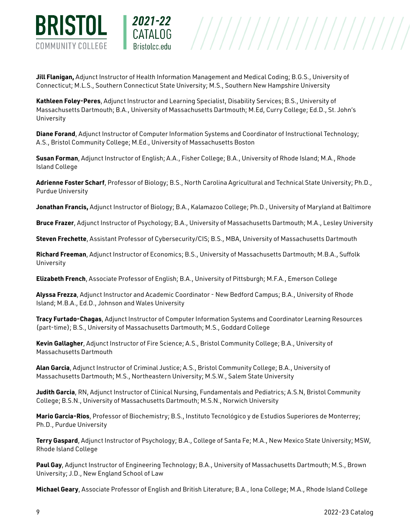

**Jill Flanigan,** Adjunct Instructor of Health Information Management and Medical Coding; B.G.S., University of Connecticut; M.L.S., Southern Connecticut State University; M.S., Southern New Hampshire University

**Kathleen Foley-Peres**, Adjunct Instructor and Learning Specialist, Disability Services; B.S., University of Massachusetts Dartmouth; B.A., University of Massachusetts Dartmouth; M.Ed, Curry College; Ed.D., St. John's University

**Diane Forand**, Adjunct Instructor of Computer Information Systems and Coordinator of Instructional Technology; A.S., Bristol Community College; M.Ed., University of Massachusetts Boston

**Susan Forman**, Adjunct Instructor of English; A.A., Fisher College; B.A., University of Rhode Island; M.A., Rhode Island College

**Adrienne Foster Scharf**, Professor of Biology; B.S., North Carolina Agricultural and Technical State University; Ph.D., Purdue University

**Jonathan Francis,** Adjunct Instructor of Biology; B.A., Kalamazoo College; Ph.D., University of Maryland at Baltimore

**Bruce Frazer**, Adjunct Instructor of Psychology; B.A., University of Massachusetts Dartmouth; M.A., Lesley University

**Steven Frechette**, Assistant Professor of Cybersecurity/CIS; B.S., MBA, University of Massachusetts Dartmouth

**Richard Freeman**, Adjunct Instructor of Economics; B.S., University of Massachusetts Dartmouth; M.B.A., Suffolk University

**Elizabeth French**, Associate Professor of English; B.A., University of Pittsburgh; M.F.A., Emerson College

**Alyssa Frezza**, Adjunct Instructor and Academic Coordinator - New Bedford Campus; B.A., University of Rhode Island; M.B.A., Ed.D., Johnson and Wales University

**Tracy Furtado-Chagas**, Adjunct Instructor of Computer Information Systems and Coordinator Learning Resources (part-time); B.S., University of Massachusetts Dartmouth; M.S., Goddard College

**Kevin Gallagher**, Adjunct Instructor of Fire Science; A.S., Bristol Community College; B.A., University of Massachusetts Dartmouth

**Alan Garcia**, Adjunct Instructor of Criminal Justice; A.S., Bristol Community College; B.A., University of Massachusetts Dartmouth; M.S., Northeastern University; M.S.W., Salem State University

**Judith Garcia**, RN, Adjunct Instructor of Clinical Nursing, Fundamentals and Pediatrics; A.S.N, Bristol Community College; B.S.N., University of Massachusetts Dartmouth; M.S.N., Norwich University

**Mario Garcia-Rios**, Professor of Biochemistry; B.S., Instituto Tecnológico y de Estudios Superiores de Monterrey; Ph.D., Purdue University

**Terry Gaspard**, Adjunct Instructor of Psychology; B.A., College of Santa Fe; M.A., New Mexico State University; MSW, Rhode Island College

**Paul Gay**, Adjunct Instructor of Engineering Technology; B.A., University of Massachusetts Dartmouth; M.S., Brown University; J.D., New England School of Law

**Michael Geary**, Associate Professor of English and British Literature; B.A., Iona College; M.A., Rhode Island College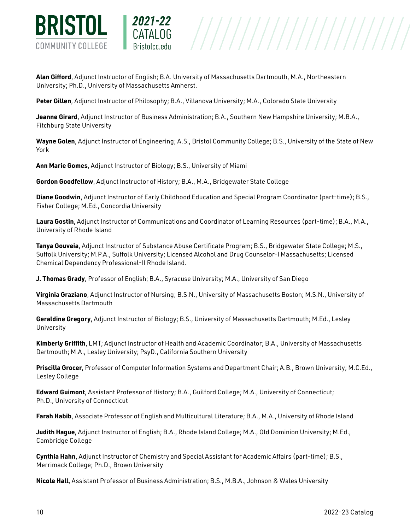

**Alan Gifford**, Adjunct Instructor of English; B.A. University of Massachusetts Dartmouth, M.A., Northeastern University; Ph.D., University of Massachusetts Amherst.

**Peter Gillen**, Adjunct Instructor of Philosophy; B.A., Villanova University; M.A., Colorado State University

**Jeanne Girard**, Adjunct Instructor of Business Administration; B.A., Southern New Hampshire University; M.B.A., Fitchburg State University

**Wayne Golen**, Adjunct Instructor of Engineering; A.S., Bristol Community College; B.S., University of the State of New York

 $\begin{array}{c|c|c|c} \texttt{CATALOG} & & \texttt{///} \end{array} \begin{array}{c|c|c} \texttt{CATALOG} & & \texttt{///} \end{array} \begin{array}{c} \texttt{CTALOG} & \texttt{///} \end{array} \begin{array}{c} \texttt{CTALOG} & \texttt{///} \end{array} \begin{array}{c} \texttt{CTALOG} & \texttt{///} \end{array} \begin{array}{c} \texttt{CTALOG} & \texttt{OPT} \end{array} \begin{array}{c} \texttt{CTALOG} & \texttt{OPT} \end{array} \begin{array}{c} \texttt{CTALGO} & \$ 

**Ann Marie Gomes**, Adjunct Instructor of Biology; B.S., University of Miami

2021-22

**Gordon Goodfellow**, Adjunct Instructor of History; B.A., M.A., Bridgewater State College

**Diane Goodwin**, Adjunct Instructor of Early Childhood Education and Special Program Coordinator (part-time); B.S., Fisher College; M.Ed., Concordia University

**Laura Gostin**, Adjunct Instructor of Communications and Coordinator of Learning Resources (part-time); B.A., M.A., University of Rhode Island

**Tanya Gouveia**, Adjunct Instructor of Substance Abuse Certificate Program; B.S., Bridgewater State College; M.S., Suffolk University; M.P.A., Suffolk University; Licensed Alcohol and Drug Counselor-I Massachusetts; Licensed Chemical Dependency Professional-II Rhode Island.

**J. Thomas Grady**, Professor of English; B.A., Syracuse University; M.A., University of San Diego

**Virginia Graziano**, Adjunct Instructor of Nursing; B.S.N., University of Massachusetts Boston; M.S.N., University of Massachusetts Dartmouth

**Geraldine Gregory**, Adjunct Instructor of Biology; B.S., University of Massachusetts Dartmouth; M.Ed., Lesley University

**Kimberly Griffith**, LMT; Adjunct Instructor of Health and Academic Coordinator; B.A., University of Massachusetts Dartmouth; M.A., Lesley University; PsyD., California Southern University

**Priscilla Grocer**, Professor of Computer Information Systems and Department Chair; A.B., Brown University; M.C.Ed., Lesley College

**Edward Guimont**, Assistant Professor of History; B.A., Guilford College; M.A., University of Connecticut; Ph.D., University of Connecticut

**Farah Habib**, Associate Professor of English and Multicultural Literature; B.A., M.A., University of Rhode Island

**Judith Hague**, Adjunct Instructor of English; B.A., Rhode Island College; M.A., Old Dominion University; M.Ed., Cambridge College

**Cynthia Hahn**, Adjunct Instructor of Chemistry and Special Assistant for Academic Affairs (part-time); B.S., Merrimack College; Ph.D., Brown University

**Nicole Hall**, Assistant Professor of Business Administration; B.S., M.B.A., Johnson & Wales University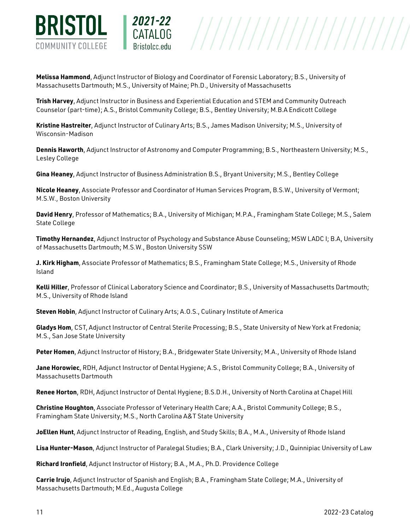

**Melissa Hammond**, Adjunct Instructor of Biology and Coordinator of Forensic Laboratory; B.S., University of Massachusetts Dartmouth; M.S., University of Maine; Ph.D., University of Massachusetts

2021-22

**Trish Harvey**, Adjunct Instructor in Business and Experiential Education and STEM and Community Outreach Counselor (part-time); A.S., Bristol Community College; B.S., Bentley University; M.B.A Endicott College

**Kristine Hastreiter**, Adjunct Instructor of Culinary Arts; B.S., James Madison University; M.S., University of Wisconsin-Madison

**Dennis Haworth**, Adjunct Instructor of Astronomy and Computer Programming; B.S., Northeastern University; M.S., Lesley College

**Gina Heaney**, Adjunct Instructor of Business Administration B.S., Bryant University; M.S., Bentley College

**Nicole Heaney**, Associate Professor and Coordinator of Human Services Program, B.S.W., University of Vermont; M.S.W., Boston University

**David Henry**, Professor of Mathematics; B.A., University of Michigan; M.P.A., Framingham State College; M.S., Salem State College

**Timothy Hernandez**, Adjunct Instructor of Psychology and Substance Abuse Counseling; MSW LADC I; B.A, University of Massachusetts Dartmouth; M.S.W., Boston University SSW

**J. Kirk Higham**, Associate Professor of Mathematics; B.S., Framingham State College; M.S., University of Rhode Island

**Kelli Hiller**, Professor of Clinical Laboratory Science and Coordinator; B.S., University of Massachusetts Dartmouth; M.S., University of Rhode Island

**Steven Hobin**, Adjunct Instructor of Culinary Arts; A.O.S., Culinary Institute of America

**Gladys Hom**, CST, Adjunct Instructor of Central Sterile Processing; B.S., State University of New York at Fredonia; M.S., San Jose State University

**Peter Homen**, Adjunct Instructor of History; B.A., Bridgewater State University; M.A., University of Rhode Island

**Jane Horowiec**, RDH, Adjunct Instructor of Dental Hygiene; A.S., Bristol Community College; B.A., University of Massachusetts Dartmouth

**Renee Horton**, RDH, Adjunct Instructor of Dental Hygiene; B.S.D.H., University of North Carolina at Chapel Hill

**Christine Houghton**, Associate Professor of Veterinary Health Care; A.A., Bristol Community College; B.S., Framingham State University; M.S., North Carolina A&T State University

**JoEllen Hunt**, Adjunct Instructor of Reading, English, and Study Skills; B.A., M.A., University of Rhode Island

**Lisa Hunter-Mason**, Adjunct Instructor of Paralegal Studies; B.A., Clark University; J.D., Quinnipiac University of Law

**Richard Ironfield**, Adjunct Instructor of History; B.A., M.A., Ph.D. Providence College

**Carrie Irujo**, Adjunct Instructor of Spanish and English; B.A., Framingham State College; M.A., University of Massachusetts Dartmouth; M.Ed., Augusta College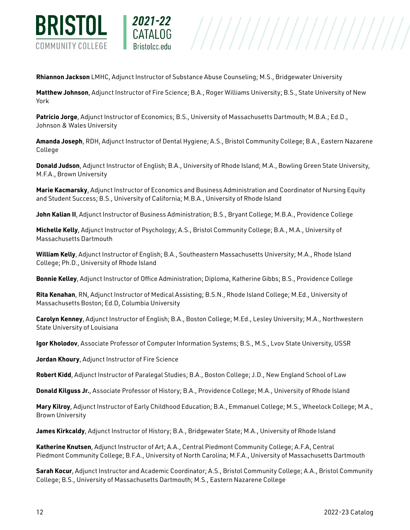

**Rhiannon Jackson** LMHC, Adjunct Instructor of Substance Abuse Counseling; M.S., Bridgewater University

2021-22

**Matthew Johnson**, Adjunct Instructor of Fire Science; B.A., Roger Williams University; B.S., State University of New York

**Patricio Jorge**, Adjunct Instructor of Economics; B.S., University of Massachusetts Dartmouth; M.B.A.; Ed.D., Johnson & Wales University

**Amanda Joseph**, RDH, Adjunct Instructor of Dental Hygiene; A.S., Bristol Community College; B.A., Eastern Nazarene College

**Donald Judson**, Adjunct Instructor of English; B.A., University of Rhode Island; M.A., Bowling Green State University, M.F.A., Brown University

**Marie Kacmarsky**, Adjunct Instructor of Economics and Business Administration and Coordinator of Nursing Equity and Student Success; B.S., University of California; M.B.A., University of Rhode Island

**John Kalian II**, Adjunct Instructor of Business Administration; B.S., Bryant College; M.B.A., Providence College

**Michelle Kelly**, Adjunct Instructor of Psychology; A.S., Bristol Community College; B.A., M.A., University of Massachusetts Dartmouth

**William Kelly**, Adjunct Instructor of English; B.A., Southeastern Massachusetts University; M.A., Rhode Island College; Ph.D., University of Rhode Island

**Bonnie Kelley**, Adjunct Instructor of Office Administration; Diploma, Katherine Gibbs; B.S., Providence College

**Rita Kenahan**, RN, Adjunct Instructor of Medical Assisting; B.S.N., Rhode Island College; M.Ed., University of Massachusetts Boston; Ed.D, Columbia University

**Carolyn Kenney**, Adjunct Instructor of English; B.A., Boston College; M.Ed., Lesley University; M.A., Northwestern State University of Louisiana

**Igor Kholodov**, Associate Professor of Computer Information Systems; B.S., M.S., Lvov State University, USSR

**Jordan Khoury**, Adjunct Instructor of Fire Science

**Robert Kidd**, Adjunct Instructor of Paralegal Studies; B.A., Boston College; J.D., New England School of Law

**Donald Kilguss Jr.**, Associate Professor of History; B.A., Providence College; M.A., University of Rhode Island

**Mary Kilroy**, Adjunct Instructor of Early Childhood Education; B.A., Emmanuel College; M.S., Wheelock College; M.A., Brown University

**James Kirkcaldy**, Adjunct Instructor of History; B.A., Bridgewater State; M.A., University of Rhode Island

**Katherine Knutsen**, Adjunct Instructor of Art; A.A., Central Piedmont Community College; A.F.A, Central Piedmont Community College; B.F.A., University of North Carolina; M.F.A., University of Massachusetts Dartmouth

**Sarah Kocur**, Adjunct Instructor and Academic Coordinator; A.S., Bristol Community College; A.A., Bristol Community College; B.S., University of Massachusetts Dartmouth; M.S., Eastern Nazarene College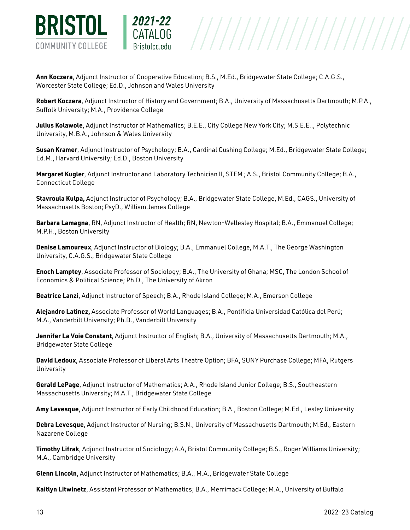

**Ann Koczera**, Adjunct Instructor of Cooperative Education; B.S., M.Ed., Bridgewater State College; C.A.G.S., Worcester State College; Ed.D., Johnson and Wales University

2021-22

**Robert Koczera**, Adjunct Instructor of History and Government; B.A., University of Massachusetts Dartmouth; M.P.A., Suffolk University; M.A., Providence College

 $\begin{array}{c|c|c|c} \textbf{CATALOG} & & & \textbf{///} \end{array} \begin{array}{c|c|c} \textbf{CATALOG} & & & \textbf{///} \end{array} \begin{array}{c} \textbf{CATALOG} & & \textbf{///} \end{array} \begin{array}{c} \textbf{CATALOG} & & \textbf{79.133} & \textbf{0.000} & \textbf{0.000} & \textbf{0.000} & \textbf{0.000} & \textbf{0.000} & \textbf{0.000} & \textbf{0.000} & \textbf{0.000} & \textbf$ 

**Julius Kolawole**, Adjunct Instructor of Mathematics; B.E.E., City College New York City; M.S.E.E.., Polytechnic University, M.B.A., Johnson & Wales University

**Susan Kramer**, Adjunct Instructor of Psychology; B.A., Cardinal Cushing College; M.Ed., Bridgewater State College; Ed.M., Harvard University; Ed.D., Boston University

**Margaret Kugler**, Adjunct Instructor and Laboratory Technician II, STEM ; A.S., Bristol Community College; B.A., Connecticut College

**Stavroula Kulpa,** Adjunct Instructor of Psychology; B.A., Bridgewater State College, M.Ed., CAGS., University of Massachusetts Boston; PsyD., William James College

**Barbara Lamagna**, RN, Adjunct Instructor of Health; RN, Newton-Wellesley Hospital; B.A., Emmanuel College; M.P.H., Boston University

**Denise Lamoureux**, Adjunct Instructor of Biology; B.A., Emmanuel College, M.A.T., The George Washington University, C.A.G.S., Bridgewater State College

**Enoch Lamptey**, Associate Professor of Sociology; B.A., The University of Ghana; MSC, The London School of Economics & Political Science; Ph.D., The University of Akron

**Beatrice Lanzi**, Adjunct Instructor of Speech; B.A., Rhode Island College; M.A., Emerson College

**Alejandro Latinez,** Associate Professor of World Languages; B.A., Pontificia Universidad Católica del Perú; M.A., Vanderbilt University; Ph.D., Vanderbilt University

**Jennifer La Voie Constant**, Adjunct Instructor of English; B.A., University of Massachusetts Dartmouth; M.A., Bridgewater State College

**David Ledoux**, Associate Professor of Liberal Arts Theatre Option; BFA, SUNY Purchase College; MFA, Rutgers University

**Gerald LePage**, Adjunct Instructor of Mathematics; A.A., Rhode Island Junior College; B.S., Southeastern Massachusetts University; M.A.T., Bridgewater State College

**Amy Levesque**, Adjunct Instructor of Early Childhood Education; B.A., Boston College; M.Ed., Lesley University

**Debra Levesque**, Adjunct Instructor of Nursing; B.S.N., University of Massachusetts Dartmouth; M.Ed., Eastern Nazarene College

**Timothy Lifrak**, Adjunct Instructor of Sociology; A.A, Bristol Community College; B.S., Roger Williams University; M.A., Cambridge University

**Glenn Lincoln**, Adjunct Instructor of Mathematics; B.A., M.A., Bridgewater State College

**Kaitlyn Litwinetz**, Assistant Professor of Mathematics; B.A., Merrimack College; M.A., University of Buffalo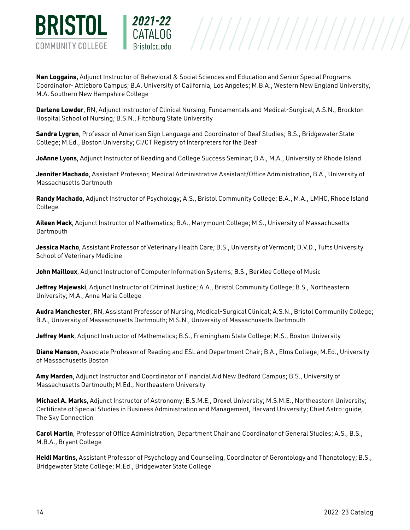

**Nan Loggains,** Adjunct Instructor of Behavioral & Social Sciences and Education and Senior Special Programs Coordinator- Attleboro Campus; B.A. University of California, Los Angeles; M.B.A., Western New England University, M.A. Southern New Hampshire College

///////////////////////

**Darlene Lowder**, RN, Adjunct Instructor of Clinical Nursing, Fundamentals and Medical-Surgical; A.S.N., Brockton Hospital School of Nursing; B.S.N., Fitchburg State University

**Sandra Lygren**, Professor of American Sign Language and Coordinator of Deaf Studies; B.S., Bridgewater State College; M.Ed., Boston University; CI/CT Registry of Interpreters for the Deaf

**JoAnne Lyons**, Adjunct Instructor of Reading and College Success Seminar; B.A., M.A., University of Rhode Island

**Jennifer Machado**, Assistant Professor, Medical Administrative Assistant/Office Administration, B.A., University of Massachusetts Dartmouth

**Randy Machado**, Adjunct Instructor of Psychology; A.S., Bristol Community College; B.A., M.A., LMHC, Rhode Island College

**Aileen Mack**, Adjunct Instructor of Mathematics; B.A., Marymount College; M.S., University of Massachusetts Dartmouth

**Jessica Macho**, Assistant Professor of Veterinary Health Care; B.S., University of Vermont; D.V.D., Tufts University School of Veterinary Medicine

**John Mailloux**, Adjunct Instructor of Computer Information Systems; B.S., Berklee College of Music

**Jeffrey Majewski**, Adjunct Instructor of Criminal Justice; A.A., Bristol Community College; B.S., Northeastern University; M.A., Anna Maria College

**Audra Manchester**, RN, Assistant Professor of Nursing, Medical-Surgical Clinical; A.S.N., Bristol Community College; B.A., University of Massachusetts Dartmouth; M.S.N., University of Massachusetts Dartmouth

**Jeffrey Mank**, Adjunct Instructor of Mathematics; B.S., Framingham State College; M.S., Boston University

**Diane Manson**, Associate Professor of Reading and ESL and Department Chair; B.A., Elms College; M.Ed., University of Massachusetts Boston

**Amy Marden**, Adjunct Instructor and Coordinator of Financial Aid New Bedford Campus; B.S., University of Massachusetts Dartmouth; M.Ed., Northeastern University

**Michael A. Marks**, Adjunct Instructor of Astronomy; B.S.M.E., Drexel University; M.S.M.E., Northeastern University; Certificate of Special Studies in Business Administration and Management, Harvard University; Chief Astro-guide, The Sky Connection

**Carol Martin**, Professor of Office Administration, Department Chair and Coordinator of General Studies; A.S., B.S., M.B.A., Bryant College

**Heidi Martins**, Assistant Professor of Psychology and Counseling, Coordinator of Gerontology and Thanatology; B.S., Bridgewater State College; M.Ed., Bridgewater State College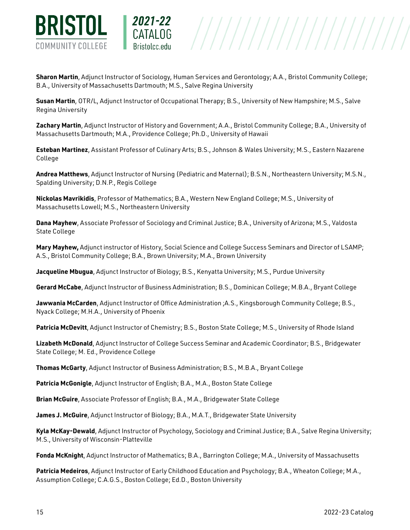

**Sharon Martin**, Adjunct Instructor of Sociology, Human Services and Gerontology; A.A., Bristol Community College; B.A., University of Massachusetts Dartmouth; M.S., Salve Regina University

 $\begin{array}{c|c|c|c} \texttt{CATALOG} & & \texttt{///} \end{array} \begin{array}{c|c|c} \texttt{CATALOG} & & \texttt{///} \end{array} \begin{array}{c} \texttt{CTALOG} & \texttt{///} \end{array} \begin{array}{c} \texttt{CTALOG} & \texttt{///} \end{array} \begin{array}{c} \texttt{CTALOG} & \texttt{///} \end{array} \begin{array}{c} \texttt{CTALOG} & \texttt{OPT} \end{array} \begin{array}{c} \texttt{CTALOG} & \texttt{OPT} \end{array} \begin{array}{c} \texttt{CTALGO} & \$ 

2021-22

**Susan Martin**, OTR/L, Adjunct Instructor of Occupational Therapy; B.S., University of New Hampshire; M.S., Salve Regina University

**Zachary Martin**, Adjunct Instructor of History and Government; A.A., Bristol Community College; B.A., University of Massachusetts Dartmouth; M.A., Providence College; Ph.D., University of Hawaii

**Esteban Martinez**, Assistant Professor of Culinary Arts; B.S., Johnson & Wales University; M.S., Eastern Nazarene College

**Andrea Matthews**, Adjunct Instructor of Nursing (Pediatric and Maternal); B.S.N., Northeastern University; M.S.N., Spalding University; D.N.P., Regis College

**Nickolas Mavrikidis**, Professor of Mathematics; B.A., Western New England College; M.S., University of Massachusetts Lowell; M.S., Northeastern University

**Dana Mayhew**, Associate Professor of Sociology and Criminal Justice; B.A., University of Arizona; M.S., Valdosta State College

**Mary Mayhew,** Adjunct instructor of History, Social Science and College Success Seminars and Director of LSAMP; A.S., Bristol Community College; B.A., Brown University; M.A., Brown University

**Jacqueline Mbugua**, Adjunct Instructor of Biology; B.S., Kenyatta University; M.S., Purdue University

**Gerard McCabe**, Adjunct Instructor of Business Administration; B.S., Dominican College; M.B.A., Bryant College

**Jawwania McCarden**, Adjunct Instructor of Office Administration ;A.S., Kingsborough Community College; B.S., Nyack College; M.H.A., University of Phoenix

**Patricia McDevitt**, Adjunct Instructor of Chemistry; B.S., Boston State College; M.S., University of Rhode Island

**Lizabeth McDonald**, Adjunct Instructor of College Success Seminar and Academic Coordinator; B.S., Bridgewater State College; M. Ed., Providence College

**Thomas McGarty**, Adjunct Instructor of Business Administration; B.S., M.B.A., Bryant College

**Patricia McGonigle**, Adjunct Instructor of English; B.A., M.A., Boston State College

**Brian McGuire**, Associate Professor of English; B.A., M.A., Bridgewater State College

**James J. McGuire**, Adjunct Instructor of Biology; B.A., M.A.T., Bridgewater State University

**Kyla McKay-Dewald**, Adjunct Instructor of Psychology, Sociology and Criminal Justice; B.A., Salve Regina University; M.S., University of Wisconsin-Platteville

**Fonda McKnight**, Adjunct Instructor of Mathematics; B.A., Barrington College; M.A., University of Massachusetts

**Patricia Medeiros**, Adjunct Instructor of Early Childhood Education and Psychology; B.A., Wheaton College; M.A., Assumption College; C.A.G.S., Boston College; Ed.D., Boston University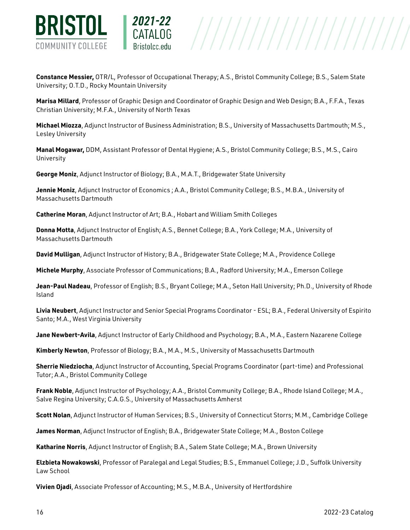

**Constance Messier,** OTR/L, Professor of Occupational Therapy; A.S., Bristol Community College; B.S., Salem State University; O.T.D., Rocky Mountain University

 $\begin{array}{c|c|c|c} \texttt{CATALOG} & & \texttt{///} \end{array} \begin{array}{c|c|c} \texttt{CATALOG} & & \texttt{///} \end{array} \begin{array}{c} \texttt{CTALOG} & \texttt{///} \end{array} \begin{array}{c} \texttt{CTALOG} & \texttt{///} \end{array} \begin{array}{c} \texttt{CTALOG} & \texttt{///} \end{array} \begin{array}{c} \texttt{CTALOG} & \texttt{OPT} \end{array} \begin{array}{c} \texttt{CTALOG} & \texttt{OPT} \end{array} \begin{array}{c} \texttt{CTALGO} & \$ 

**Marisa Millard**, Professor of Graphic Design and Coordinator of Graphic Design and Web Design; B.A., F.F.A., Texas Christian University; M.F.A., University of North Texas

**Michael Miozza**, Adjunct Instructor of Business Administration; B.S., University of Massachusetts Dartmouth; M.S., Lesley University

**Manal Mogawar,** DDM, Assistant Professor of Dental Hygiene; A.S., Bristol Community College; B.S., M.S., Cairo University

**George Moniz**, Adjunct Instructor of Biology; B.A., M.A.T., Bridgewater State University

2021-22

**Jennie Moniz**, Adjunct Instructor of Economics ; A.A., Bristol Community College; B.S., M.B.A., University of Massachusetts Dartmouth

**Catherine Moran**, Adjunct Instructor of Art; B.A., Hobart and William Smith Colleges

**Donna Motta**, Adjunct Instructor of English; A.S., Bennet College; B.A., York College; M.A., University of Massachusetts Dartmouth

**David Mulligan**, Adjunct Instructor of History; B.A., Bridgewater State College; M.A., Providence College

**Michele Murphy**, Associate Professor of Communications; B.A., Radford University; M.A., Emerson College

**Jean-Paul Nadeau**, Professor of English; B.S., Bryant College; M.A., Seton Hall University; Ph.D., University of Rhode Island

**Livia Neubert**, Adjunct Instructor and Senior Special Programs Coordinator - ESL; B.A., Federal University of Espirito Santo; M.A., West Virginia University

**Jane Newbert-Avila**, Adjunct Instructor of Early Childhood and Psychology; B.A., M.A., Eastern Nazarene College

**Kimberly Newton**, Professor of Biology; B.A., M.A., M.S., University of Massachusetts Dartmouth

**Sherrie Niedziocha**, Adjunct Instructor of Accounting, Special Programs Coordinator (part-time) and Professional Tutor; A.A., Bristol Community College

**Frank Noble**, Adjunct Instructor of Psychology; A.A., Bristol Community College; B.A., Rhode Island College; M.A., Salve Regina University; C.A.G.S., University of Massachusetts Amherst

**Scott Nolan**, Adjunct Instructor of Human Services; B.S., University of Connecticut Storrs; M.M., Cambridge College

**James Norman**, Adjunct Instructor of English; B.A., Bridgewater State College; M.A., Boston College

**Katharine Norris**, Adjunct Instructor of English; B.A., Salem State College; M.A., Brown University

**Elzbieta Nowakowski**, Professor of Paralegal and Legal Studies; B.S., Emmanuel College; J.D., Suffolk University Law School

**Vivien Ojadi**, Associate Professor of Accounting; M.S., M.B.A., University of Hertfordshire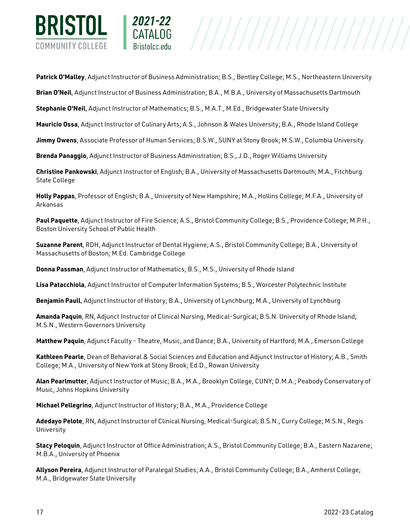

**Patrick O'Malley**, Adjunct Instructor of Business Administration; B.S., Bentley College; M.S., Northeastern University

**Brian O'Neil**, Adjunct Instructor of Business Administration; B.A., M.B.A., University of Massachusetts Dartmouth

**Stephanie O'Neil**, Adjunct Instructor of Mathematics; B.S., M.A.T., M.Ed., Bridgewater State University

2021-22

**Mauricio Ossa**, Adjunct Instructor of Culinary Arts; A.S., Johnson & Wales University; B.A., Rhode Island College

**Jimmy Owens**, Associate Professor of Human Services; B.S.W., SUNY at Stony Brook; M.S.W., Columbia University

**Brenda Panaggio**, Adjunct Instructor of Business Administration; B.S., J.D., Roger Williams University

**Christine Pankowski**, Adjunct Instructor of English; B.A., University of Massachusetts Dartmouth; M.A., Fitchburg State College

**Holly Pappas**, Professor of English; B.A., University of New Hampshire; M.A., Hollins College; M.F.A., University of Arkansas

**Paul Paquette**, Adjunct Instructor of Fire Science; A.S., Bristol Community College; B.S., Providence College; M.P.H., Boston University School of Public Health

**Suzanne Parent**, RDH, Adjunct Instructor of Dental Hygiene; A.S., Bristol Community College; B.A., University of Massachusetts of Boston; M.Ed. Cambridge College

**Donna Passman**, Adjunct Instructor of Mathematics; B.S., M.S., University of Rhode Island

**Lisa Patacchiola**, Adjunct Instructor of Computer Information Systems; B.S., Worcester Polytechnic Institute

**Benjamin Paull**, Adjunct Instructor of History; B.A., University of Lynchburg; M.A., University of Lynchburg

**Amanda Paquin**, RN, Adjunct Instructor of Clinical Nursing, Medical-Surgical; B.S.N. University of Rhode Island; M.S.N., Western Governors University

**Matthew Paquin**, Adjunct Faculty - Theatre, Music, and Dance; B.A., University of Hartford; M.A., Emerson College

**Kathleen Pearle**, Dean of Behavioral & Social Sciences and Education and Adjunct Instructor of History; A.B., Smith College; M.A., University of New York at Stony Brook; Ed.D., Rowan University

**Alan Pearlmutter**, Adjunct Instructor of Music; B.A., M.A., Brooklyn College, CUNY; D.M.A.; Peabody Conservatory of Music, Johns Hopkins University

**Michael Pellegrino**, Adjunct Instructor of History; B.A., M.A., Providence College

**Adedayo Pelote**, RN, Adjunct Instructor of Clinical Nursing, Medical-Surgical; B.S.N., Curry College; M.S.N., Regis University

**Stacy Peloquin**, Adjunct Instructor of Office Administration; A.S., Bristol Community College; B.A., Eastern Nazarene; M.B.A., University of Phoenix

**Allyson Pereira**, Adjunct Instructor of Paralegal Studies; A.A., Bristol Community College; B.A., Amherst College; M.A., Bridgewater State University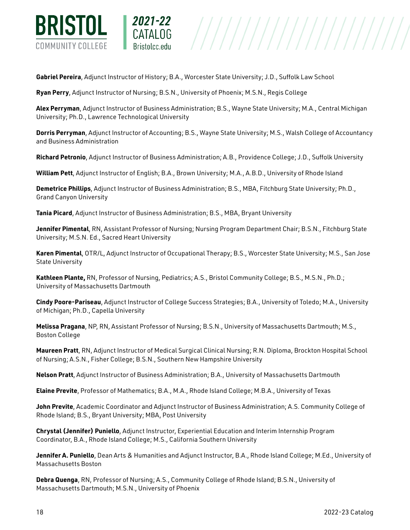

**Gabriel Pereira**, Adjunct Instructor of History; B.A., Worcester State University; J.D., Suffolk Law School

**Ryan Perry**, Adjunct Instructor of Nursing; B.S.N., University of Phoenix; M.S.N., Regis College

2021-22

**Alex Perryman**, Adjunct Instructor of Business Administration; B.S., Wayne State University; M.A., Central Michigan University; Ph.D., Lawrence Technological University

 $\begin{array}{c|c|c|c} \texttt{CATAL0G} & & & \texttt{///} \end{array} \begin{array}{c|c|c} \texttt{CATAL0G} & & & \texttt{///} \end{array} \begin{array}{c|c|c} \texttt{CTIALOG} & & & \texttt{///} \end{array} \begin{array}{c|c|c} \texttt{CTATEO} & & & \texttt{CTATEO} \end{array} \end{array}$ 

**Dorris Perryman**, Adjunct Instructor of Accounting; B.S., Wayne State University; M.S., Walsh College of Accountancy and Business Administration

**Richard Petronio**, Adjunct Instructor of Business Administration; A.B., Providence College; J.D., Suffolk University

**William Pett**, Adjunct Instructor of English; B.A., Brown University; M.A., A.B.D., University of Rhode Island

**Demetrice Phillips**, Adjunct Instructor of Business Administration; B.S., MBA, Fitchburg State University; Ph.D., Grand Canyon University

**Tania Picard**, Adjunct Instructor of Business Administration; B.S., MBA, Bryant University

**Jennifer Pimental**, RN, Assistant Professor of Nursing; Nursing Program Department Chair; B.S.N., Fitchburg State University; M.S.N. Ed., Sacred Heart University

**Karen Pimental**, OTR/L, Adjunct Instructor of Occupational Therapy; B.S., Worcester State University; M.S., San Jose State University

**Kathleen Plante,** RN, Professor of Nursing, Pediatrics; A.S., Bristol Community College; B.S., M.S.N., Ph.D.; University of Massachusetts Dartmouth

**Cindy Poore-Pariseau**, Adjunct Instructor of College Success Strategies; B.A., University of Toledo; M.A., University of Michigan; Ph.D., Capella University

**Melissa Pragana**, NP, RN, Assistant Professor of Nursing; B.S.N., University of Massachusetts Dartmouth; M.S., Boston College

**Maureen Pratt**, RN, Adjunct Instructor of Medical Surgical Clinical Nursing; R.N. Diploma, Brockton Hospital School of Nursing; A.S.N., Fisher College; B.S.N., Southern New Hampshire University

**Nelson Pratt**, Adjunct Instructor of Business Administration; B.A., University of Massachusetts Dartmouth

**Elaine Previte**, Professor of Mathematics; B.A., M.A., Rhode Island College; M.B.A., University of Texas

**John Previte**, Academic Coordinator and Adjunct Instructor of Business Administration; A.S. Community College of Rhode Island; B.S., Bryant University; MBA, Post University

**Chrystal (Jennifer) Puniello**, Adjunct Instructor, Experiential Education and Interim Internship Program Coordinator, B.A., Rhode Island College; M.S., California Southern University

**Jennifer A. Puniello**, Dean Arts & Humanities and Adjunct Instructor, B.A., Rhode Island College; M.Ed., University of Massachusetts Boston

**Debra Quenga**, RN, Professor of Nursing; A.S., Community College of Rhode Island; B.S.N., University of Massachusetts Dartmouth; M.S.N., University of Phoenix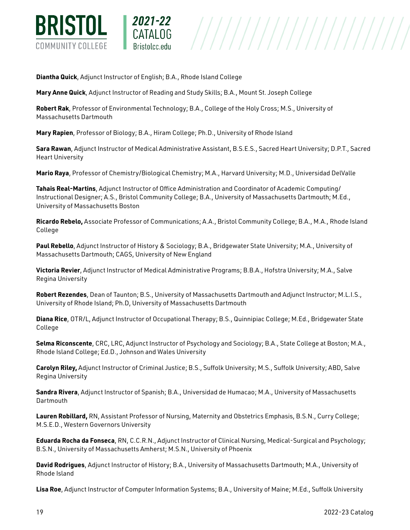

**Diantha Quick**, Adjunct Instructor of English; B.A., Rhode Island College

2021-22

**Mary Anne Quick**, Adjunct Instructor of Reading and Study Skills; B.A., Mount St. Joseph College

**Robert Rak**, Professor of Environmental Technology; B.A., College of the Holy Cross; M.S., University of Massachusetts Dartmouth

**Mary Rapien**, Professor of Biology; B.A., Hiram College; Ph.D., University of Rhode Island

**Sara Rawan**, Adjunct Instructor of Medical Administrative Assistant, B.S.E.S., Sacred Heart University; D.P.T., Sacred Heart University

**Mario Raya**, Professor of Chemistry/Biological Chemistry; M.A., Harvard University; M.D., Universidad DelValle

**Tahais Real-Martins**, Adjunct Instructor of Office Administration and Coordinator of Academic Computing/ Instructional Designer; A.S., Bristol Community College; B.A., University of Massachusetts Dartmouth; M.Ed., University of Massachusetts Boston

**Ricardo Rebelo,** Associate Professor of Communications; A.A., Bristol Community College; B.A., M.A., Rhode Island College

**Paul Rebello**, Adjunct Instructor of History & Sociology; B.A., Bridgewater State University; M.A., University of Massachusetts Dartmouth; CAGS, University of New England

**Victoria Revier**, Adjunct Instructor of Medical Administrative Programs; B.B.A., Hofstra University; M.A., Salve Regina University

**Robert Rezendes**, Dean of Taunton; B.S., University of Massachusetts Dartmouth and Adjunct Instructor; M.L.I.S., University of Rhode Island; Ph.D, University of Massachusetts Dartmouth

**Diana Rice**, OTR/L, Adjunct Instructor of Occupational Therapy; B.S., Quinnipiac College; M.Ed., Bridgewater State College

**Selma Riconscente**, CRC, LRC, Adjunct Instructor of Psychology and Sociology; B.A., State College at Boston; M.A., Rhode Island College; Ed.D., Johnson and Wales University

**Carolyn Riley,** Adjunct Instructor of Criminal Justice; B.S., Suffolk University; M.S., Suffolk University; ABD, Salve Regina University

**Sandra Rivera**, Adjunct Instructor of Spanish; B.A., Universidad de Humacao; M.A., University of Massachusetts **Dartmouth** 

**Lauren Robillard,** RN, Assistant Professor of Nursing, Maternity and Obstetrics Emphasis, B.S.N., Curry College; M.S.E.D., Western Governors University

**Eduarda Rocha da Fonseca**, RN, C.C.R.N., Adjunct Instructor of Clinical Nursing, Medical-Surgical and Psychology; B.S.N., University of Massachusetts Amherst; M.S.N., University of Phoenix

**David Rodrigues**, Adjunct Instructor of History; B.A., University of Massachusetts Dartmouth; M.A., University of Rhode Island

**Lisa Roe**, Adjunct Instructor of Computer Information Systems; B.A., University of Maine; M.Ed., Suffolk University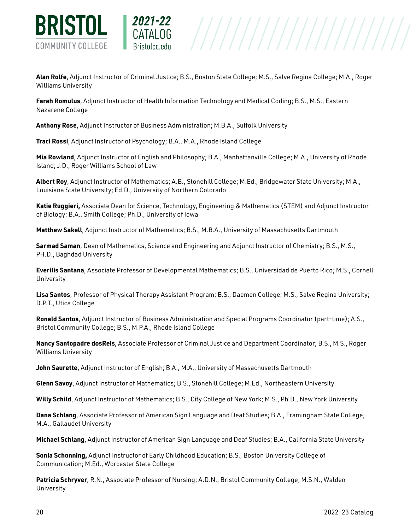

**Alan Rolfe**, Adjunct Instructor of Criminal Justice; B.S., Boston State College; M.S., Salve Regina College; M.A., Roger Williams University

**Farah Romulus**, Adjunct Instructor of Health Information Technology and Medical Coding; B.S., M.S., Eastern Nazarene College

**Anthony Rose**, Adjunct Instructor of Business Administration; M.B.A., Suffolk University

**Traci Rossi**, Adjunct Instructor of Psychology; B.A., M.A., Rhode Island College

2021-22

**Mia Rowland**, Adjunct Instructor of English and Philosophy; B.A., Manhattanville College; M.A., University of Rhode Island; J.D., Roger Williams School of Law

**Albert Roy**, Adjunct Instructor of Mathematics; A.B., Stonehill College; M.Ed., Bridgewater State University; M.A., Louisiana State University; Ed.D., University of Northern Colorado

**Katie Ruggieri,** Associate Dean for Science, Technology, Engineering & Mathematics (STEM) and Adjunct Instructor of Biology; B.A., Smith College; Ph.D., University of Iowa

**Matthew Sakell**, Adjunct Instructor of Mathematics; B.S., M.B.A., University of Massachusetts Dartmouth

**Sarmad Saman**, Dean of Mathematics, Science and Engineering and Adjunct Instructor of Chemistry; B.S., M.S., PH.D., Baghdad University

**Everilis Santana**, Associate Professor of Developmental Mathematics; B.S., Universidad de Puerto Rico; M.S., Cornell University

**Lisa Santos**, Professor of Physical Therapy Assistant Program; B.S., Daemen College; M.S., Salve Regina University; D.P.T., Utica College

**Ronald Santos**, Adjunct Instructor of Business Administration and Special Programs Coordinator (part-time); A.S., Bristol Community College; B.S., M.P.A., Rhode Island College

**Nancy Santopadre dosReis**, Associate Professor of Criminal Justice and Department Coordinator; B.S., M.S., Roger Williams University

**John Saurette**, Adjunct Instructor of English; B.A., M.A., University of Massachusetts Dartmouth

**Glenn Savoy**, Adjunct Instructor of Mathematics; B.S., Stonehill College; M.Ed., Northeastern University

**Willy Schild**, Adjunct Instructor of Mathematics; B.S., City College of New York; M.S., Ph.D., New York University

**Dana Schlang**, Associate Professor of American Sign Language and Deaf Studies; B.A., Framingham State College; M.A., Gallaudet University

**Michael Schlang**, Adjunct Instructor of American Sign Language and Deaf Studies; B.A., California State University

**Sonia Schonning,** Adjunct Instructor of Early Childhood Education; B.S., Boston University College of Communication; M.Ed., Worcester State College

**Patricia Schryver**, R.N., Associate Professor of Nursing; A.D.N., Bristol Community College; M.S.N., Walden University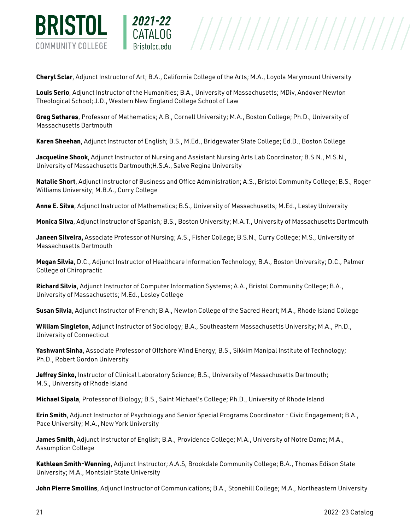

**Cheryl Sclar**, Adjunct Instructor of Art; B.A., California College of the Arts; M.A., Loyola Marymount University

 $\begin{array}{c|c|c|c} \textbf{CATALOG} & & & \textbf{///} \end{array} \begin{array}{c|c|c} \textbf{CATALOG} & & & \textbf{///} \end{array} \begin{array}{c} \textbf{CATALOG} & & \textbf{///} \end{array} \begin{array}{c} \textbf{CATALOG} & & \textbf{79.133} & \textbf{0.000} & \textbf{0.000} & \textbf{0.000} & \textbf{0.000} & \textbf{0.000} & \textbf{0.000} & \textbf{0.000} & \textbf{0.000} & \textbf$ 

2021-22

**Louis Serio**, Adjunct Instructor of the Humanities; B.A., University of Massachusetts; MDiv, Andover Newton Theological School; J.D., Western New England College School of Law

**Greg Sethares**, Professor of Mathematics; A.B., Cornell University; M.A., Boston College; Ph.D., University of Massachusetts Dartmouth

**Karen Sheehan**, Adjunct Instructor of English; B.S., M.Ed., Bridgewater State College; Ed.D., Boston College

**Jacqueline Shook**, Adjunct Instructor of Nursing and Assistant Nursing Arts Lab Coordinator; B.S.N., M.S.N., University of Massachusetts Dartmouth;H.S.A., Salve Regina University

**Natalie Short**, Adjunct Instructor of Business and Office Administration; A.S., Bristol Community College; B.S., Roger Williams University; M.B.A., Curry College

**Anne E. Silva**, Adjunct Instructor of Mathematics; B.S., University of Massachusetts; M.Ed., Lesley University

**Monica Silva**, Adjunct Instructor of Spanish; B.S., Boston University; M.A.T., University of Massachusetts Dartmouth

**Janeen Silveira,** Associate Professor of Nursing; A.S., Fisher College; B.S.N., Curry College; M.S., University of Massachusetts Dartmouth

**Megan Silvia**, D.C., Adjunct Instructor of Healthcare Information Technology; B.A., Boston University; D.C., Palmer College of Chiropractic

**Richard Silvia**, Adjunct Instructor of Computer Information Systems; A.A., Bristol Community College; B.A., University of Massachusetts; M.Ed., Lesley College

**Susan Silvia**, Adjunct Instructor of French; B.A., Newton College of the Sacred Heart; M.A., Rhode Island College

**William Singleton**, Adjunct Instructor of Sociology; B.A., Southeastern Massachusetts University; M.A., Ph.D., University of Connecticut

**Yashwant Sinha**, Associate Professor of Offshore Wind Energy; B.S., Sikkim Manipal Institute of Technology; Ph.D., Robert Gordon University

**Jeffrey Sinko,** Instructor of Clinical Laboratory Science; B.S., University of Massachusetts Dartmouth; M.S., University of Rhode Island

**Michael Sipala**, Professor of Biology; B.S., Saint Michael's College; Ph.D., University of Rhode Island

**Erin Smith**, Adjunct Instructor of Psychology and Senior Special Programs Coordinator - Civic Engagement; B.A., Pace University; M.A., New York University

**James Smith**, Adjunct Instructor of English; B.A., Providence College; M.A., University of Notre Dame; M.A., Assumption College

**Kathleen Smith-Wenning**, Adjunct Instructor; A.A.S, Brookdale Community College; B.A., Thomas Edison State University; M.A., Montslair State University

**John Pierre Smollins**, Adjunct Instructor of Communications; B.A., Stonehill College; M.A., Northeastern University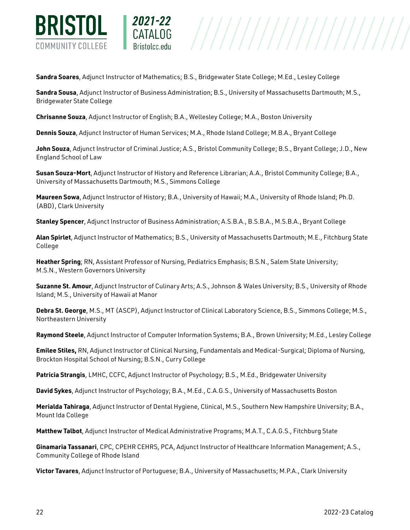

**Sandra Soares**, Adjunct Instructor of Mathematics; B.S., Bridgewater State College; M.Ed., Lesley College

**Sandra Sousa**, Adjunct Instructor of Business Administration; B.S., University of Massachusetts Dartmouth; M.S., Bridgewater State College

**Chrisanne Souza**, Adjunct Instructor of English; B.A., Wellesley College; M.A., Boston University

2021-22

**Dennis Souza**, Adjunct Instructor of Human Services; M.A., Rhode Island College; M.B.A., Bryant College

**John Souza**, Adjunct Instructor of Criminal Justice; A.S., Bristol Community College; B.S., Bryant College; J.D., New England School of Law

**Susan Souza-Mort**, Adjunct Instructor of History and Reference Librarian; A.A., Bristol Community College; B.A., University of Massachusetts Dartmouth; M.S., Simmons College

**Maureen Sowa**, Adjunct Instructor of History; B.A., University of Hawaii; M.A., University of Rhode Island; Ph.D. (ABD), Clark University

**Stanley Spencer**, Adjunct Instructor of Business Administration; A.S.B.A., B.S.B.A., M.S.B.A., Bryant College

**Alan Spirlet**, Adjunct Instructor of Mathematics; B.S., University of Massachusetts Dartmouth; M.E., Fitchburg State College

**Heather Spring**; RN, Assistant Professor of Nursing, Pediatrics Emphasis; B.S.N., Salem State University; M.S.N., Western Governors University

**Suzanne St. Amour**, Adjunct Instructor of Culinary Arts; A.S., Johnson & Wales University; B.S., University of Rhode Island; M.S., University of Hawaii at Manor

**Debra St. George**, M.S., MT (ASCP), Adjunct Instructor of Clinical Laboratory Science, B.S., Simmons College; M.S., Northeastern University

**Raymond Steele**, Adjunct Instructor of Computer Information Systems; B.A., Brown University; M.Ed., Lesley College

**Emilee Stiles,** RN, Adjunct Instructor of Clinical Nursing, Fundamentals and Medical-Surgical; Diploma of Nursing, Brockton Hospital School of Nursing; B.S.N., Curry College

**Patricia Strangis**, LMHC, CCFC, Adjunct Instructor of Psychology; B.S., M.Ed., Bridgewater University

**David Sykes**, Adjunct Instructor of Psychology; B.A., M.Ed., C.A.G.S., University of Massachusetts Boston

**Merialda Tahiraga**, Adjunct Instructor of Dental Hygiene, Clinical, M.S., Southern New Hampshire University; B.A., Mount Ida College

**Matthew Talbot**, Adjunct Instructor of Medical Administrative Programs; M.A.T., C.A.G.S., Fitchburg State

**Ginamaria Tassanari**, CPC, CPEHR CEHRS, PCA, Adjunct Instructor of Healthcare Information Management; A.S., Community College of Rhode Island

**Victor Tavares**, Adjunct Instructor of Portuguese; B.A., University of Massachusetts; M.P.A., Clark University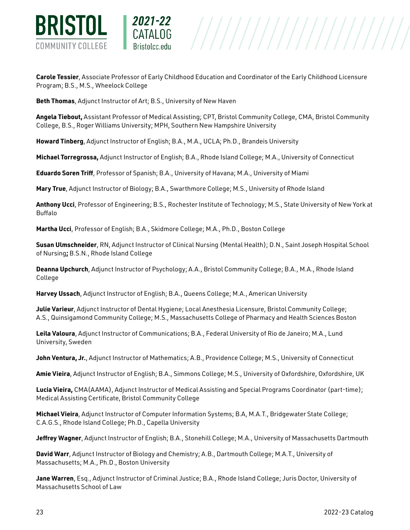

**Carole Tessier**, Associate Professor of Early Childhood Education and Coordinator of the Early Childhood Licensure Program; B.S., M.S., Wheelock College

**Beth Thomas**, Adjunct Instructor of Art; B.S., University of New Haven

2021-22

**Angela Tiebout,** Assistant Professor of Medical Assisting; CPT, Bristol Community College, CMA, Bristol Community College, B.S., Roger Williams University; MPH, Southern New Hampshire University

**Howard Tinberg**, Adjunct Instructor of English; B.A., M.A., UCLA; Ph.D., Brandeis University

**Michael Torregrossa,** Adjunct Instructor of English; B.A., Rhode Island College; M.A., University of Connecticut

**Eduardo Soren Triff**, Professor of Spanish; B.A., University of Havana; M.A., University of Miami

**Mary True**, Adjunct Instructor of Biology; B.A., Swarthmore College; M.S., University of Rhode Island

**Anthony Ucci**, Professor of Engineering; B.S., Rochester Institute of Technology; M.S., State University of New York at Buffalo

**Martha Ucci**, Professor of English; B.A., Skidmore College; M.A., Ph.D., Boston College

**Susan Ulmschneider**, RN, Adjunct Instructor of Clinical Nursing (Mental Health); D.N., Saint Joseph Hospital School of Nursing**;** B.S.N., Rhode Island College

**Deanna Upchurch**, Adjunct Instructor of Psychology; A.A., Bristol Community College; B.A., M.A., Rhode Island College

**Harvey Ussach**, Adjunct Instructor of English; B.A., Queens College; M.A., American University

**Julie Varieur**, Adjunct Instructor of Dental Hygiene; Local Anesthesia Licensure, Bristol Community College; A.S., Quinsigamond Community College; M.S., Massachusetts College of Pharmacy and Health Sciences Boston

**Leila Valoura**, Adjunct Instructor of Communications; B.A., Federal University of Rio de Janeiro; M.A., Lund University, Sweden

**John Ventura, Jr.**, Adjunct Instructor of Mathematics; A.B., Providence College; M.S., University of Connecticut

**Amie Vieira**, Adjunct Instructor of English; B.A., Simmons College; M.S., University of Oxfordshire, Oxfordshire, UK

**Lucia Vieira,** CMA(AAMA), Adjunct Instructor of Medical Assisting and Special Programs Coordinator (part-time); Medical Assisting Certificate, Bristol Community College

**Michael Vieira**, Adjunct Instructor of Computer Information Systems; B.A, M.A.T., Bridgewater State College; C.A.G.S., Rhode Island College; Ph.D., Capella University

**Jeffrey Wagner**, Adjunct Instructor of English; B.A., Stonehill College; M.A., University of Massachusetts Dartmouth

**David Warr**, Adjunct Instructor of Biology and Chemistry; A.B., Dartmouth College; M.A.T., University of Massachusetts; M.A., Ph.D., Boston University

**Jane Warren**, Esq., Adjunct Instructor of Criminal Justice; B.A., Rhode Island College; Juris Doctor, University of Massachusetts School of Law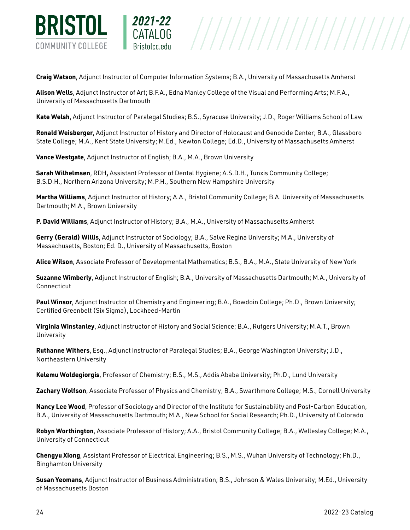

**Craig Watson**, Adjunct Instructor of Computer Information Systems; B.A., University of Massachusetts Amherst

**Alison Wells**, Adjunct Instructor of Art; B.F.A., Edna Manley College of the Visual and Performing Arts; M.F.A., University of Massachusetts Dartmouth

**Kate Welsh**, Adjunct Instructor of Paralegal Studies; B.S., Syracuse University; J.D., Roger Williams School of Law

**Ronald Weisberger**, Adjunct Instructor of History and Director of Holocaust and Genocide Center; B.A., Glassboro State College; M.A., Kent State University; M.Ed., Newton College; Ed.D., University of Massachusetts Amherst

**Vance Westgate**, Adjunct Instructor of English; B.A., M.A., Brown University

2021-22

**Sarah Wilhelmsen**, RDH**,** Assistant Professor of Dental Hygiene; A.S.D.H., Tunxis Community College; B.S.D.H., Northern Arizona University; M.P.H., Southern New Hampshire University

**Martha Williams**, Adjunct Instructor of History; A.A., Bristol Community College; B.A. University of Massachusetts Dartmouth; M.A., Brown University

**P. David Williams**, Adjunct Instructor of History; B.A., M.A., University of Massachusetts Amherst

**Gerry (Gerald) Willis**, Adjunct Instructor of Sociology; B.A., Salve Regina University; M.A., University of Massachusetts, Boston; Ed. D., University of Massachusetts, Boston

**Alice Wilson**, Associate Professor of Developmental Mathematics; B.S., B.A., M.A., State University of New York

**Suzanne Wimberly**, Adjunct Instructor of English; B.A., University of Massachusetts Dartmouth; M.A., University of Connecticut

**Paul Winsor**, Adjunct Instructor of Chemistry and Engineering; B.A., Bowdoin College; Ph.D., Brown University; Certified Greenbelt (Six Sigma), Lockheed-Martin

**Virginia Winstanley**, Adjunct Instructor of History and Social Science; B.A., Rutgers University; M.A.T., Brown University

**Ruthanne Withers**, Esq., Adjunct Instructor of Paralegal Studies; B.A., George Washington University; J.D., Northeastern University

**Kelemu Woldegiorgis**, Professor of Chemistry; B.S., M.S., Addis Ababa University; Ph.D., Lund University

**Zachary Wolfson**, Associate Professor of Physics and Chemistry; B.A., Swarthmore College; M.S., Cornell University

**Nancy Lee Wood**, Professor of Sociology and Director of the Institute for Sustainability and Post-Carbon Education, B.A., University of Massachusetts Dartmouth; M.A., New School for Social Research; Ph.D., University of Colorado

**Robyn Worthington**, Associate Professor of History; A.A., Bristol Community College; B.A., Wellesley College; M.A., University of Connecticut

**Chengyu Xiong**, Assistant Professor of Electrical Engineering; B.S., M.S., Wuhan University of Technology; Ph.D., Binghamton University

**Susan Yeomans**, Adjunct Instructor of Business Administration; B.S., Johnson & Wales University; M.Ed., University of Massachusetts Boston